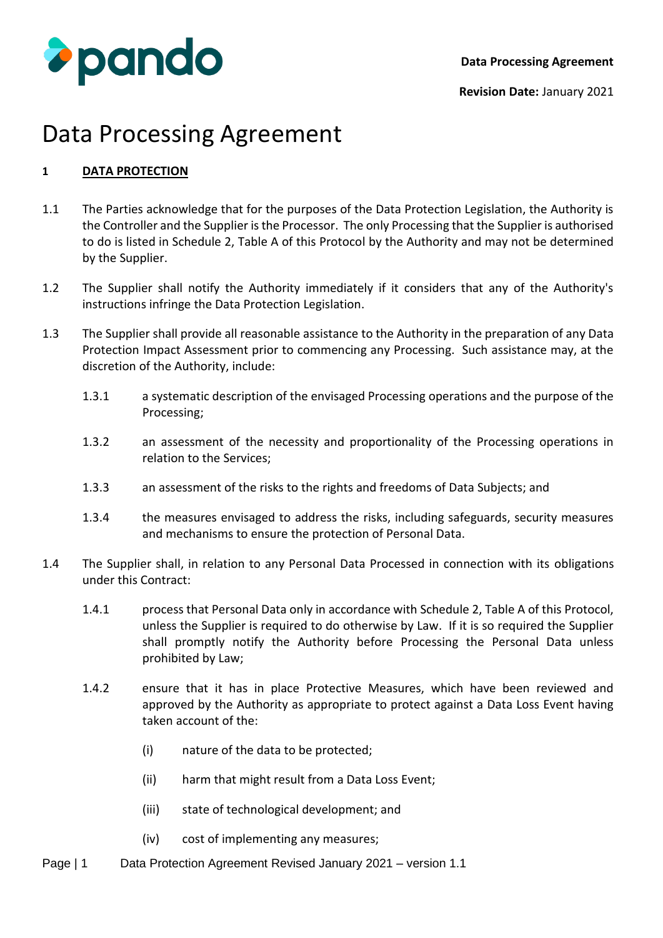

## **1 DATA PROTECTION**

- 1.1 The Parties acknowledge that for the purposes of the Data Protection Legislation, the Authority is the Controller and the Supplier is the Processor. The only Processing that the Supplier is authorised to do is listed in Schedule 2, Table A of this Protocol by the Authority and may not be determined by the Supplier.
- 1.2 The Supplier shall notify the Authority immediately if it considers that any of the Authority's instructions infringe the Data Protection Legislation.
- 1.3 The Supplier shall provide all reasonable assistance to the Authority in the preparation of any Data Protection Impact Assessment prior to commencing any Processing. Such assistance may, at the discretion of the Authority, include:
	- 1.3.1 a systematic description of the envisaged Processing operations and the purpose of the Processing;
	- 1.3.2 an assessment of the necessity and proportionality of the Processing operations in relation to the Services;
	- 1.3.3 an assessment of the risks to the rights and freedoms of Data Subjects; and
	- 1.3.4 the measures envisaged to address the risks, including safeguards, security measures and mechanisms to ensure the protection of Personal Data.
- 1.4 The Supplier shall, in relation to any Personal Data Processed in connection with its obligations under this Contract:
	- 1.4.1 process that Personal Data only in accordance with Schedule 2, Table A of this Protocol, unless the Supplier is required to do otherwise by Law. If it is so required the Supplier shall promptly notify the Authority before Processing the Personal Data unless prohibited by Law;
	- 1.4.2 ensure that it has in place Protective Measures, which have been reviewed and approved by the Authority as appropriate to protect against a Data Loss Event having taken account of the:
		- (i) nature of the data to be protected;
		- (ii) harm that might result from a Data Loss Event;
		- (iii) state of technological development; and
		- (iv) cost of implementing any measures;
- Page | 1 Data Protection Agreement Revised January 2021 version 1.1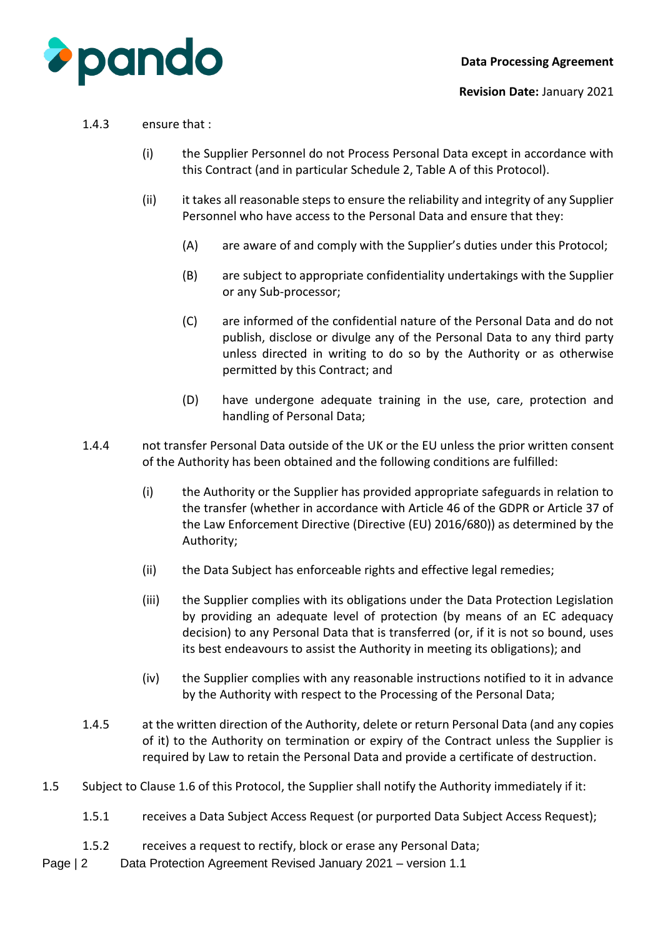

#### **Revision Date:** January 2021

#### 1.4.3 ensure that :

- (i) the Supplier Personnel do not Process Personal Data except in accordance with this Contract (and in particular Schedule 2, Table A of this Protocol).
- (ii) it takes all reasonable steps to ensure the reliability and integrity of any Supplier Personnel who have access to the Personal Data and ensure that they:
	- (A) are aware of and comply with the Supplier's duties under this Protocol;
	- (B) are subject to appropriate confidentiality undertakings with the Supplier or any Sub-processor;
	- (C) are informed of the confidential nature of the Personal Data and do not publish, disclose or divulge any of the Personal Data to any third party unless directed in writing to do so by the Authority or as otherwise permitted by this Contract; and
	- (D) have undergone adequate training in the use, care, protection and handling of Personal Data;
- 1.4.4 not transfer Personal Data outside of the UK or the EU unless the prior written consent of the Authority has been obtained and the following conditions are fulfilled:
	- (i) the Authority or the Supplier has provided appropriate safeguards in relation to the transfer (whether in accordance with Article 46 of the GDPR or Article 37 of the Law Enforcement Directive (Directive (EU) 2016/680)) as determined by the Authority;
	- (ii) the Data Subject has enforceable rights and effective legal remedies;
	- (iii) the Supplier complies with its obligations under the Data Protection Legislation by providing an adequate level of protection (by means of an EC adequacy decision) to any Personal Data that is transferred (or, if it is not so bound, uses its best endeavours to assist the Authority in meeting its obligations); and
	- (iv) the Supplier complies with any reasonable instructions notified to it in advance by the Authority with respect to the Processing of the Personal Data;
- 1.4.5 at the written direction of the Authority, delete or return Personal Data (and any copies of it) to the Authority on termination or expiry of the Contract unless the Supplier is required by Law to retain the Personal Data and provide a certificate of destruction.
- 1.5 Subject to Clause 1.6 of this Protocol, the Supplier shall notify the Authority immediately if it:
	- 1.5.1 receives a Data Subject Access Request (or purported Data Subject Access Request);
	- 1.5.2 receives a request to rectify, block or erase any Personal Data;
- Page | 2 Data Protection Agreement Revised January 2021 version 1.1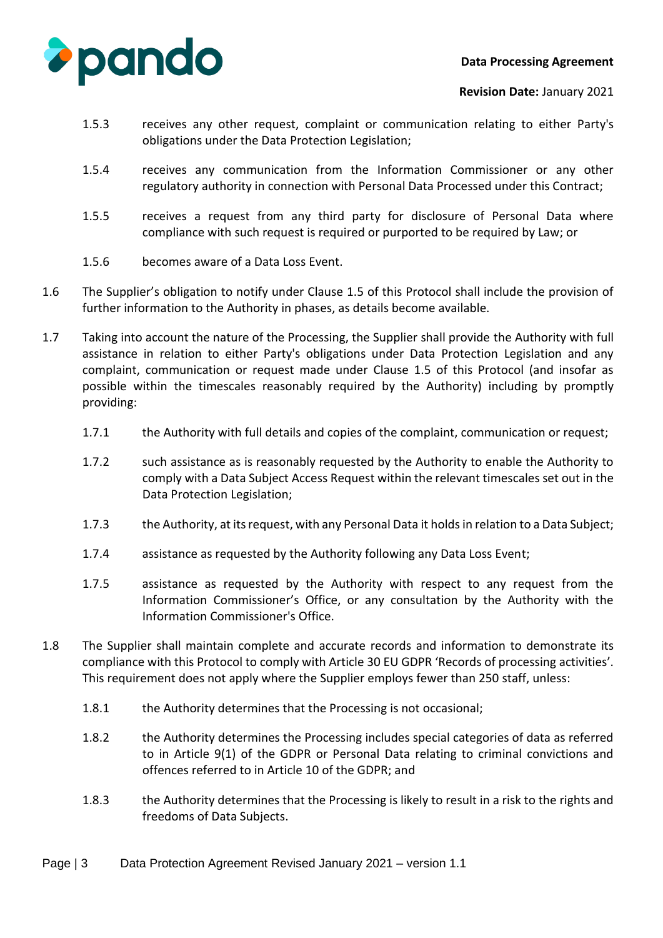

- 1.5.3 receives any other request, complaint or communication relating to either Party's obligations under the Data Protection Legislation;
- 1.5.4 receives any communication from the Information Commissioner or any other regulatory authority in connection with Personal Data Processed under this Contract;
- 1.5.5 receives a request from any third party for disclosure of Personal Data where compliance with such request is required or purported to be required by Law; or
- 1.5.6 becomes aware of a Data Loss Event.
- 1.6 The Supplier's obligation to notify under Clause 1.5 of this Protocol shall include the provision of further information to the Authority in phases, as details become available.
- 1.7 Taking into account the nature of the Processing, the Supplier shall provide the Authority with full assistance in relation to either Party's obligations under Data Protection Legislation and any complaint, communication or request made under Clause 1.5 of this Protocol (and insofar as possible within the timescales reasonably required by the Authority) including by promptly providing:
	- 1.7.1 the Authority with full details and copies of the complaint, communication or request;
	- 1.7.2 such assistance as is reasonably requested by the Authority to enable the Authority to comply with a Data Subject Access Request within the relevant timescales set out in the Data Protection Legislation;
	- 1.7.3 the Authority, at its request, with any Personal Data it holds in relation to a Data Subject;
	- 1.7.4 assistance as requested by the Authority following any Data Loss Event;
	- 1.7.5 assistance as requested by the Authority with respect to any request from the Information Commissioner's Office, or any consultation by the Authority with the Information Commissioner's Office.
- 1.8 The Supplier shall maintain complete and accurate records and information to demonstrate its compliance with this Protocol to comply with Article 30 EU GDPR 'Records of processing activities'. This requirement does not apply where the Supplier employs fewer than 250 staff, unless:
	- 1.8.1 the Authority determines that the Processing is not occasional;
	- 1.8.2 the Authority determines the Processing includes special categories of data as referred to in Article 9(1) of the GDPR or Personal Data relating to criminal convictions and offences referred to in Article 10 of the GDPR; and
	- 1.8.3 the Authority determines that the Processing is likely to result in a risk to the rights and freedoms of Data Subjects.
- Page | 3 Data Protection Agreement Revised January 2021 version 1.1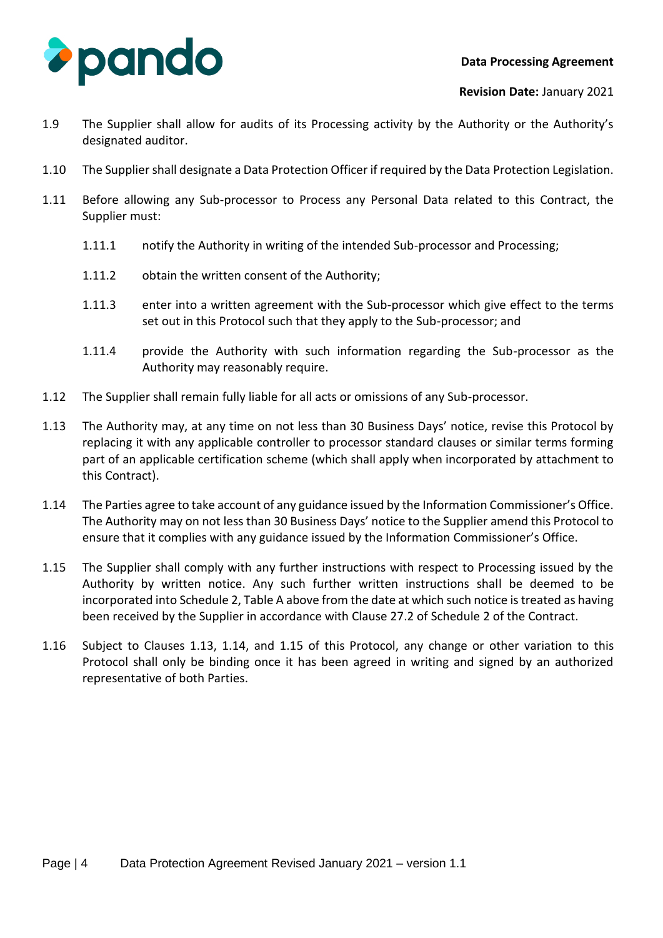

- 1.9 The Supplier shall allow for audits of its Processing activity by the Authority or the Authority's designated auditor.
- 1.10 The Supplier shall designate a Data Protection Officer if required by the Data Protection Legislation.
- 1.11 Before allowing any Sub-processor to Process any Personal Data related to this Contract, the Supplier must:
	- 1.11.1 notify the Authority in writing of the intended Sub-processor and Processing;
	- 1.11.2 obtain the written consent of the Authority;
	- 1.11.3 enter into a written agreement with the Sub-processor which give effect to the terms set out in this Protocol such that they apply to the Sub-processor; and
	- 1.11.4 provide the Authority with such information regarding the Sub-processor as the Authority may reasonably require.
- 1.12 The Supplier shall remain fully liable for all acts or omissions of any Sub-processor.
- 1.13 The Authority may, at any time on not less than 30 Business Days' notice, revise this Protocol by replacing it with any applicable controller to processor standard clauses or similar terms forming part of an applicable certification scheme (which shall apply when incorporated by attachment to this Contract).
- 1.14 The Parties agree to take account of any guidance issued by the Information Commissioner's Office. The Authority may on not less than 30 Business Days' notice to the Supplier amend this Protocol to ensure that it complies with any guidance issued by the Information Commissioner's Office.
- 1.15 The Supplier shall comply with any further instructions with respect to Processing issued by the Authority by written notice. Any such further written instructions shall be deemed to be incorporated into Schedule 2, Table A above from the date at which such notice is treated as having been received by the Supplier in accordance with Clause 27.2 of Schedule 2 of the Contract.
- 1.16 Subject to Clauses 1.13, 1.14, and 1.15 of this Protocol, any change or other variation to this Protocol shall only be binding once it has been agreed in writing and signed by an authorized representative of both Parties.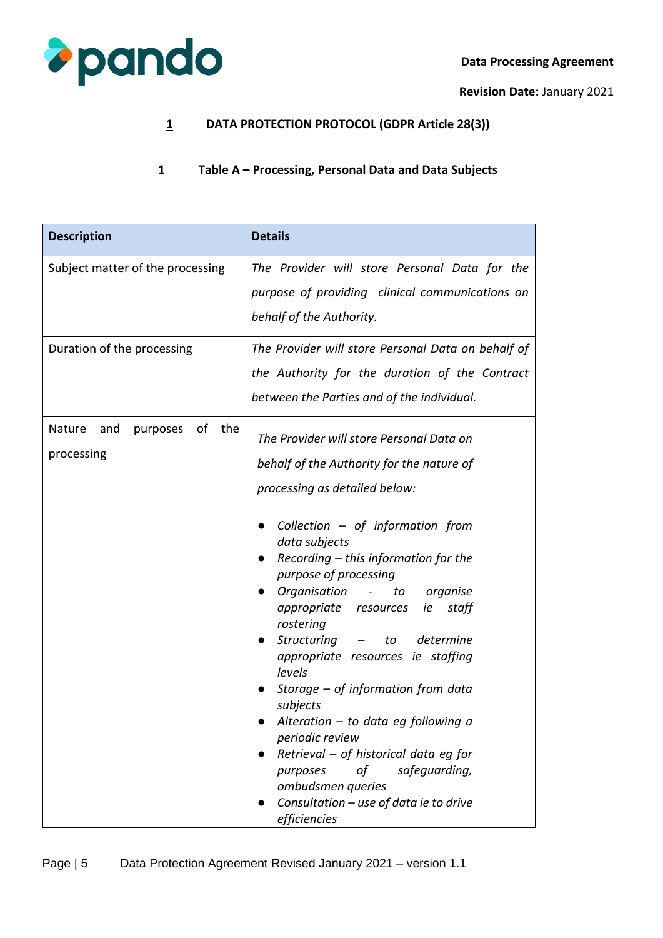

**Revision Date:** January 2021

## **1 DATA PROTECTION PROTOCOL (GDPR Article 28(3))**

## **1 Table A – Processing, Personal Data and Data Subjects**

| <b>Description</b>                                   | <b>Details</b>                                                                                                                                                                                                                                                                                                                                                                                                                                                                                                                                                                                                                                                                                         |
|------------------------------------------------------|--------------------------------------------------------------------------------------------------------------------------------------------------------------------------------------------------------------------------------------------------------------------------------------------------------------------------------------------------------------------------------------------------------------------------------------------------------------------------------------------------------------------------------------------------------------------------------------------------------------------------------------------------------------------------------------------------------|
| Subject matter of the processing                     | The Provider will store Personal Data for the<br>purpose of providing clinical communications on<br>behalf of the Authority.                                                                                                                                                                                                                                                                                                                                                                                                                                                                                                                                                                           |
| Duration of the processing                           | The Provider will store Personal Data on behalf of<br>the Authority for the duration of the Contract<br>between the Parties and of the individual.                                                                                                                                                                                                                                                                                                                                                                                                                                                                                                                                                     |
| οf<br>the<br>Nature<br>and<br>purposes<br>processing | The Provider will store Personal Data on<br>behalf of the Authority for the nature of<br>processing as detailed below:<br>Collection $-$ of information from<br>$\bullet$<br>data subjects<br>Recording – this information for the<br>purpose of processing<br>Organisation -<br>to organise<br>appropriate resources ie<br>staff<br>rostering<br>Structuring - to determine<br>appropriate resources ie staffing<br>levels<br>Storage $-$ of information from data<br>subjects<br>Alteration $-$ to data eg following a<br>periodic review<br>Retrieval – of historical data eg for<br>safeguarding,<br>purposes<br>οf<br>ombudsmen queries<br>Consultation - use of data ie to drive<br>efficiencies |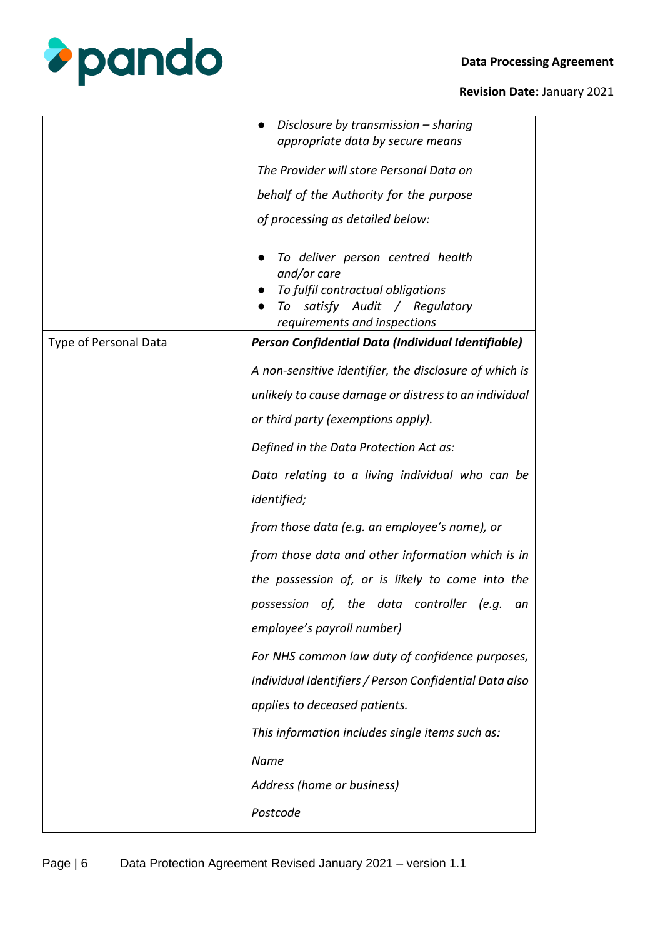

|                       | Disclosure by transmission $-$ sharing<br>appropriate data by secure means                                                                            |
|-----------------------|-------------------------------------------------------------------------------------------------------------------------------------------------------|
|                       | The Provider will store Personal Data on                                                                                                              |
|                       | behalf of the Authority for the purpose                                                                                                               |
|                       | of processing as detailed below:                                                                                                                      |
|                       | To deliver person centred health<br>and/or care<br>To fulfil contractual obligations<br>To satisfy Audit / Regulatory<br>requirements and inspections |
| Type of Personal Data | Person Confidential Data (Individual Identifiable)                                                                                                    |
|                       | A non-sensitive identifier, the disclosure of which is                                                                                                |
|                       | unlikely to cause damage or distress to an individual                                                                                                 |
|                       | or third party (exemptions apply).                                                                                                                    |
|                       | Defined in the Data Protection Act as:                                                                                                                |
|                       | Data relating to a living individual who can be<br><i>identified;</i>                                                                                 |
|                       | from those data (e.g. an employee's name), or                                                                                                         |
|                       | from those data and other information which is in                                                                                                     |
|                       | the possession of, or is likely to come into the                                                                                                      |
|                       | possession of, the data controller (e.g.<br>an                                                                                                        |
|                       | employee's payroll number)                                                                                                                            |
|                       | For NHS common law duty of confidence purposes,                                                                                                       |
|                       | Individual Identifiers / Person Confidential Data also                                                                                                |
|                       | applies to deceased patients.                                                                                                                         |
|                       | This information includes single items such as:                                                                                                       |
|                       | Name                                                                                                                                                  |
|                       | Address (home or business)                                                                                                                            |
|                       | Postcode                                                                                                                                              |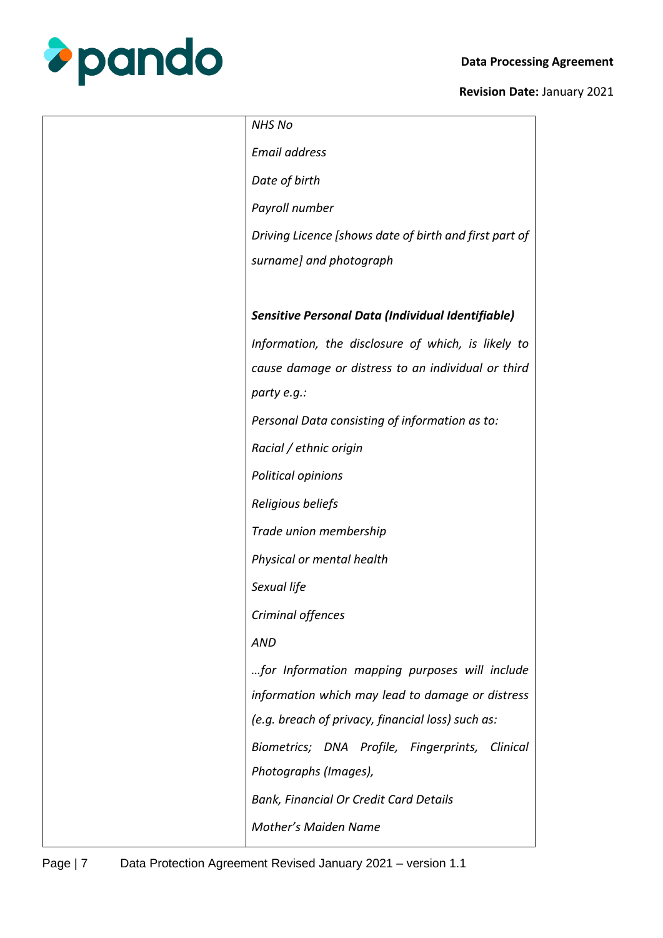

| <b>NHS No</b>                                          |
|--------------------------------------------------------|
| <b>Email address</b>                                   |
| Date of birth                                          |
| Payroll number                                         |
| Driving Licence [shows date of birth and first part of |
| surname] and photograph                                |
|                                                        |
| Sensitive Personal Data (Individual Identifiable)      |
| Information, the disclosure of which, is likely to     |
| cause damage or distress to an individual or third     |
| party e.g.:                                            |
| Personal Data consisting of information as to:         |
| Racial / ethnic origin                                 |
| Political opinions                                     |
| Religious beliefs                                      |
| Trade union membership                                 |
| Physical or mental health                              |
| Sexual life                                            |
| Criminal offences                                      |
| <b>AND</b>                                             |
| for Information mapping purposes will include          |
| information which may lead to damage or distress       |
| (e.g. breach of privacy, financial loss) such as:      |
| Biometrics; DNA Profile, Fingerprints,<br>Clinical     |
| Photographs (Images),                                  |
| <b>Bank, Financial Or Credit Card Details</b>          |
| <b>Mother's Maiden Name</b>                            |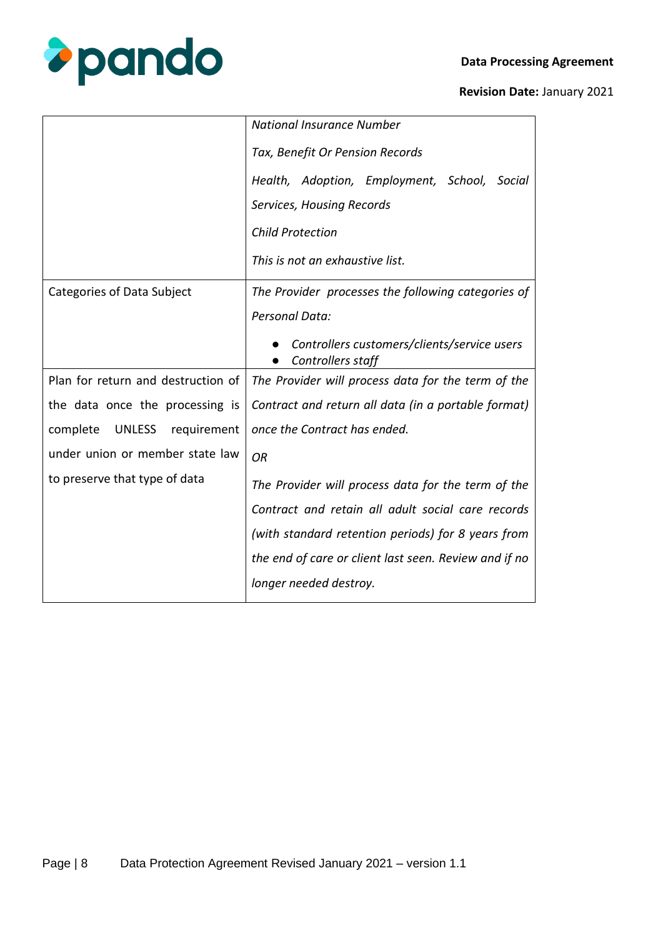



| <b>National Insurance Number</b>                                 |
|------------------------------------------------------------------|
| Tax, Benefit Or Pension Records                                  |
| Health, Adoption, Employment, School, Social                     |
| Services, Housing Records                                        |
| <b>Child Protection</b>                                          |
| This is not an exhaustive list.                                  |
| The Provider processes the following categories of               |
| <b>Personal Data:</b>                                            |
| Controllers customers/clients/service users<br>Controllers staff |
| The Provider will process data for the term of the               |
| Contract and return all data (in a portable format)              |
| once the Contract has ended.                                     |
| <b>OR</b>                                                        |
| The Provider will process data for the term of the               |
| Contract and retain all adult social care records                |
| (with standard retention periods) for 8 years from               |
| the end of care or client last seen. Review and if no            |
| longer needed destroy.                                           |
|                                                                  |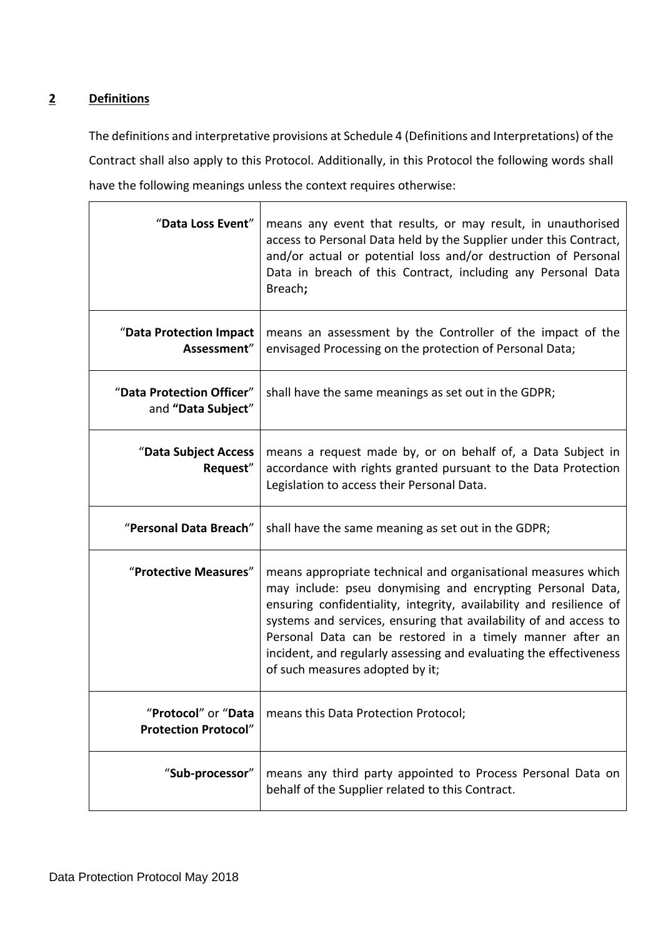# **2 Definitions**

The definitions and interpretative provisions at Schedule 4 (Definitions and Interpretations) of the Contract shall also apply to this Protocol. Additionally, in this Protocol the following words shall have the following meanings unless the context requires otherwise:

| "Data Loss Event"                                  | means any event that results, or may result, in unauthorised<br>access to Personal Data held by the Supplier under this Contract,<br>and/or actual or potential loss and/or destruction of Personal<br>Data in breach of this Contract, including any Personal Data<br>Breach;                                                                                                                                                                |
|----------------------------------------------------|-----------------------------------------------------------------------------------------------------------------------------------------------------------------------------------------------------------------------------------------------------------------------------------------------------------------------------------------------------------------------------------------------------------------------------------------------|
| "Data Protection Impact<br>Assessment"             | means an assessment by the Controller of the impact of the<br>envisaged Processing on the protection of Personal Data;                                                                                                                                                                                                                                                                                                                        |
| "Data Protection Officer"<br>and "Data Subject"    | shall have the same meanings as set out in the GDPR;                                                                                                                                                                                                                                                                                                                                                                                          |
| "Data Subject Access<br>Request"                   | means a request made by, or on behalf of, a Data Subject in<br>accordance with rights granted pursuant to the Data Protection<br>Legislation to access their Personal Data.                                                                                                                                                                                                                                                                   |
| "Personal Data Breach"                             | shall have the same meaning as set out in the GDPR;                                                                                                                                                                                                                                                                                                                                                                                           |
| "Protective Measures"                              | means appropriate technical and organisational measures which<br>may include: pseu donymising and encrypting Personal Data,<br>ensuring confidentiality, integrity, availability and resilience of<br>systems and services, ensuring that availability of and access to<br>Personal Data can be restored in a timely manner after an<br>incident, and regularly assessing and evaluating the effectiveness<br>of such measures adopted by it; |
| "Protocol" or "Data<br><b>Protection Protocol"</b> | means this Data Protection Protocol;                                                                                                                                                                                                                                                                                                                                                                                                          |
| "Sub-processor"                                    | means any third party appointed to Process Personal Data on<br>behalf of the Supplier related to this Contract.                                                                                                                                                                                                                                                                                                                               |